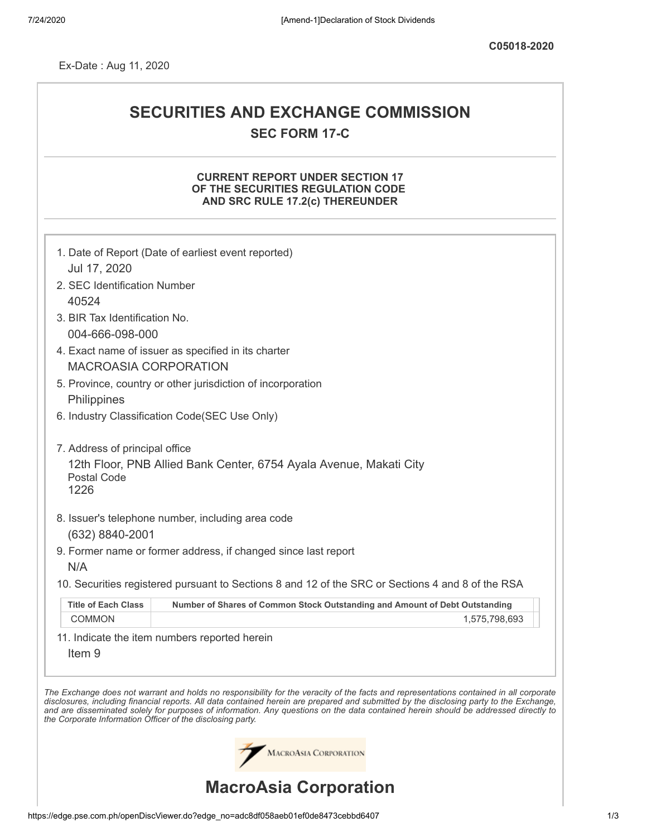Ex-Date : Aug 11, 2020

# **SECURITIES AND EXCHANGE COMMISSION SEC FORM 17-C**

# **CURRENT REPORT UNDER SECTION 17 OF THE SECURITIES REGULATION CODE AND SRC RULE 17.2(c) THEREUNDER**

| Jul 17, 2020                                               | 1. Date of Report (Date of earliest event reported)                                                                                                                                                                                                                                                                                                                                                                      |
|------------------------------------------------------------|--------------------------------------------------------------------------------------------------------------------------------------------------------------------------------------------------------------------------------------------------------------------------------------------------------------------------------------------------------------------------------------------------------------------------|
| 2. SEC Identification Number                               |                                                                                                                                                                                                                                                                                                                                                                                                                          |
| 40524                                                      |                                                                                                                                                                                                                                                                                                                                                                                                                          |
| 3. BIR Tax Identification No.                              |                                                                                                                                                                                                                                                                                                                                                                                                                          |
| 004-666-098-000                                            |                                                                                                                                                                                                                                                                                                                                                                                                                          |
|                                                            | 4. Exact name of issuer as specified in its charter                                                                                                                                                                                                                                                                                                                                                                      |
| <b>MACROASIA CORPORATION</b>                               |                                                                                                                                                                                                                                                                                                                                                                                                                          |
|                                                            | 5. Province, country or other jurisdiction of incorporation                                                                                                                                                                                                                                                                                                                                                              |
| Philippines                                                |                                                                                                                                                                                                                                                                                                                                                                                                                          |
|                                                            | 6. Industry Classification Code(SEC Use Only)                                                                                                                                                                                                                                                                                                                                                                            |
|                                                            |                                                                                                                                                                                                                                                                                                                                                                                                                          |
| 7. Address of principal office                             |                                                                                                                                                                                                                                                                                                                                                                                                                          |
| <b>Postal Code</b><br>1226                                 | 12th Floor, PNB Allied Bank Center, 6754 Ayala Avenue, Makati City                                                                                                                                                                                                                                                                                                                                                       |
|                                                            |                                                                                                                                                                                                                                                                                                                                                                                                                          |
|                                                            | 8. Issuer's telephone number, including area code                                                                                                                                                                                                                                                                                                                                                                        |
| (632) 8840-2001                                            |                                                                                                                                                                                                                                                                                                                                                                                                                          |
|                                                            | 9. Former name or former address, if changed since last report                                                                                                                                                                                                                                                                                                                                                           |
| N/A                                                        |                                                                                                                                                                                                                                                                                                                                                                                                                          |
|                                                            | 10. Securities registered pursuant to Sections 8 and 12 of the SRC or Sections 4 and 8 of the RSA                                                                                                                                                                                                                                                                                                                        |
| <b>Title of Each Class</b>                                 | Number of Shares of Common Stock Outstanding and Amount of Debt Outstanding                                                                                                                                                                                                                                                                                                                                              |
| <b>COMMON</b>                                              | 1,575,798,693                                                                                                                                                                                                                                                                                                                                                                                                            |
|                                                            | 11. Indicate the item numbers reported herein                                                                                                                                                                                                                                                                                                                                                                            |
| Item <sub>9</sub>                                          |                                                                                                                                                                                                                                                                                                                                                                                                                          |
|                                                            |                                                                                                                                                                                                                                                                                                                                                                                                                          |
| the Corporate Information Officer of the disclosing party. | The Exchange does not warrant and holds no responsibility for the veracity of the facts and representations contained in all corporate<br>disclosures, including financial reports. All data contained herein are prepared and submitted by the disclosing party to the Exchange,<br>and are disseminated solely for purposes of information. Any questions on the data contained herein should be addressed directly to |
|                                                            | <b>MACROASIA CORPORATION</b>                                                                                                                                                                                                                                                                                                                                                                                             |
|                                                            | <b>MacroAsia Corporation</b>                                                                                                                                                                                                                                                                                                                                                                                             |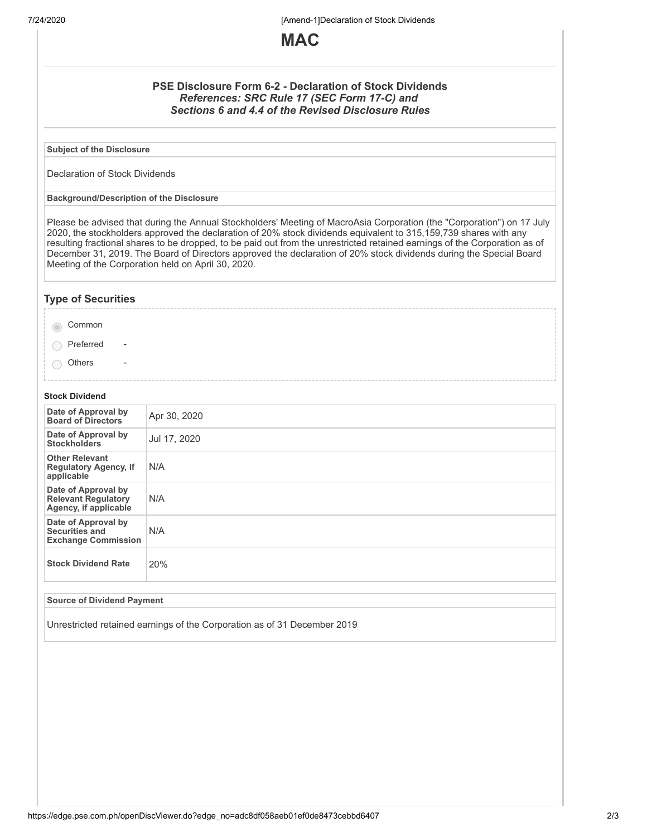7/24/2020 [Amend-1]Declaration of Stock Dividends



## **PSE Disclosure Form 6-2 - Declaration of Stock Dividends** *References: SRC Rule 17 (SEC Form 17-C) and Sections 6 and 4.4 of the Revised Disclosure Rules*

**Subject of the Disclosure**

Declaration of Stock Dividends

**Background/Description of the Disclosure**

Please be advised that during the Annual Stockholders' Meeting of MacroAsia Corporation (the "Corporation") on 17 July 2020, the stockholders approved the declaration of 20% stock dividends equivalent to 315,159,739 shares with any resulting fractional shares to be dropped, to be paid out from the unrestricted retained earnings of the Corporation as of December 31, 2019. The Board of Directors approved the declaration of 20% stock dividends during the Special Board Meeting of the Corporation held on April 30, 2020.

## **Type of Securities**

◯ Preferred -

**Others** 

#### **Stock Dividend**

| Date of Approval by<br><b>Board of Directors</b>                           | Apr 30, 2020 |
|----------------------------------------------------------------------------|--------------|
| Date of Approval by<br><b>Stockholders</b>                                 | Jul 17, 2020 |
| <b>Other Relevant</b><br><b>Regulatory Agency, if</b><br>applicable        | N/A          |
| Date of Approval by<br><b>Relevant Regulatory</b><br>Agency, if applicable | N/A          |
| Date of Approval by<br>Securities and<br><b>Exchange Commission</b>        | N/A          |
| <b>Stock Dividend Rate</b>                                                 | 20%          |

#### **Source of Dividend Payment**

Unrestricted retained earnings of the Corporation as of 31 December 2019